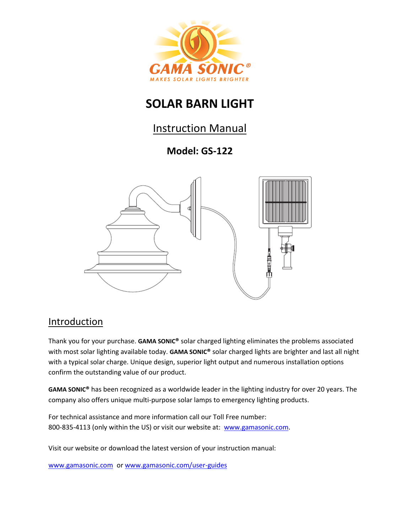

# **SOLAR BARN LIGHT**

## Instruction Manual

## **Model: GS-122**



### Introduction

Thank you for your purchase. **GAMA SONIC®** solar charged lighting eliminates the problems associated with most solar lighting available today. **GAMA SONIC®** solar charged lights are brighter and last all night with a typical solar charge. Unique design, superior light output and numerous installation options confirm the outstanding value of our product.

**GAMA SONIC®** has been recognized as a worldwide leader in the lighting industry for over 20 years. The company also offers unique multi-purpose solar lamps to emergency lighting products.

For technical assistance and more information call our Toll Free number: 800-835-4113 (only within the US) or visit our website at: [www.gamasonic.com.](http://www.gamasonic.com/)

Visit our website or download the latest version of your instruction manual:

[www.gamasonic.com](http://www.gamasonic.com/) o[r www.gamasonic.com/user-guides](http://www.gamasonic.com/user-guides)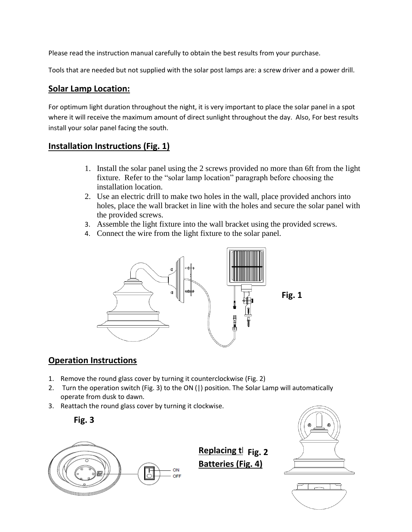Please read the instruction manual carefully to obtain the best results from your purchase.

Tools that are needed but not supplied with the solar post lamps are: a screw driver and a power drill.

#### **Solar Lamp Location:**

For optimum light duration throughout the night, it is very important to place the solar panel in a spot where it will receive the maximum amount of direct sunlight throughout the day. Also, For best results install your solar panel facing the south.

#### **Installation Instructions (Fig. 1)**

- 1. Install the solar panel using the 2 screws provided no more than 6ft from the light fixture. Refer to the "solar lamp location" paragraph before choosing the installation location.
- 2. Use an electric drill to make two holes in the wall, place provided anchors into holes, place the wall bracket in line with the holes and secure the solar panel with the provided screws.
- 3. Assemble the light fixture into the wall bracket using the provided screws.
- 4. Connect the wire from the light fixture to the solar panel.



### **Operation Instructions**

- 1. Remove the round glass cover by turning it counterclockwise (Fig. 2)
- 2. Turn the operation switch (Fig. 3) to the ON (|) position. The Solar Lamp will automatically operate from dusk to dawn.
- 3. Reattach the round glass cover by turning it clockwise.





**Replacing t** Fig. 2 **Batteries (Fig. 4)**



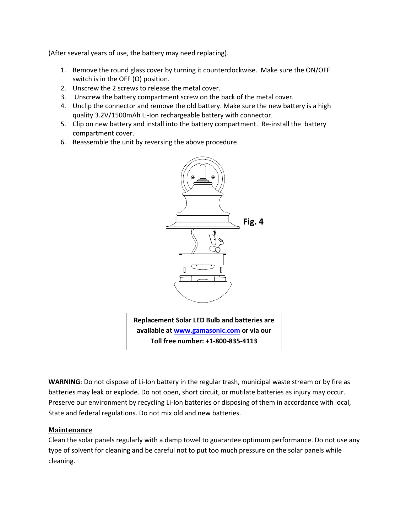(After several years of use, the battery may need replacing).

- 1. Remove the round glass cover by turning it counterclockwise. Make sure the ON/OFF switch is in the OFF (O) position.
- 2. Unscrew the 2 screws to release the metal cover.
- 3. Unscrew the battery compartment screw on the back of the metal cover.
- 4. Unclip the connector and remove the old battery. Make sure the new battery is a high quality 3.2V/1500mAh Li-Ion rechargeable battery with connector.
- 5. Clip on new battery and install into the battery compartment. Re-install the battery compartment cover.
- 6. Reassemble the unit by reversing the above procedure.



**Toll free number: +1-800-835-4113**

**WARNING**: Do not dispose of Li-Ion battery in the regular trash, municipal waste stream or by fire as batteries may leak or explode. Do not open, short circuit, or mutilate batteries as injury may occur. Preserve our environment by recycling Li-Ion batteries or disposing of them in accordance with local, State and federal regulations. Do not mix old and new batteries.

#### **Maintenance**

Clean the solar panels regularly with a damp towel to guarantee optimum performance. Do not use any type of solvent for cleaning and be careful not to put too much pressure on the solar panels while cleaning.